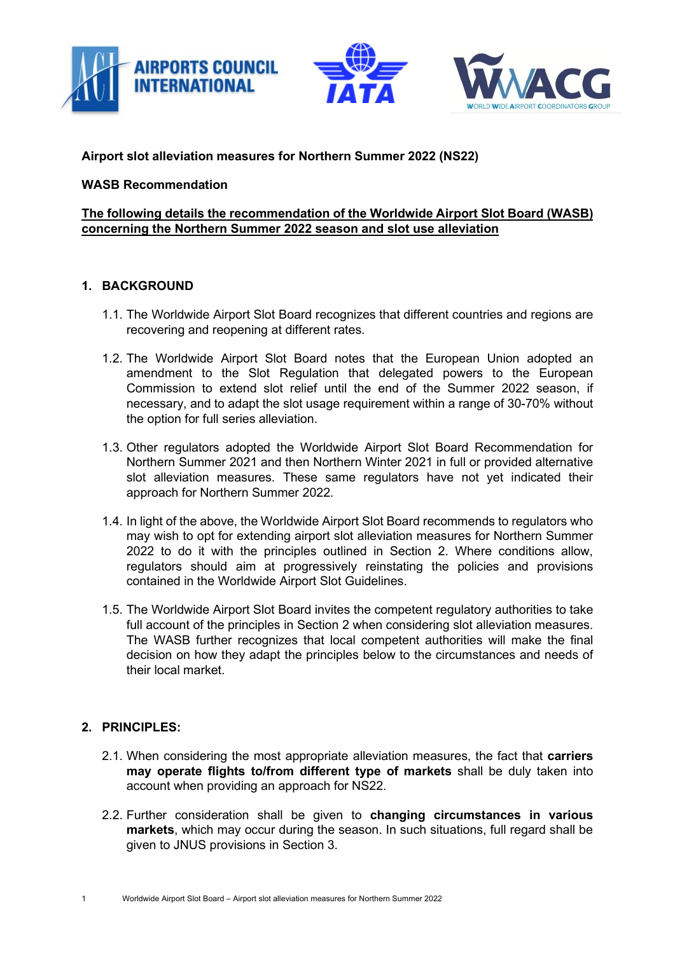



## **Airport slot alleviation measures for Northern Summer 2022 (NS22)**

#### **WASB Recommendation**

## **The following details the recommendation of the Worldwide Airport Slot Board (WASB) concerning the Northern Summer 2022 season and slot use alleviation**

#### **1. BACKGROUND**

- 1.1. The Worldwide Airport Slot Board recognizes that different countries and regions are recovering and reopening at different rates.
- 1.2. The Worldwide Airport Slot Board notes that the European Union adopted an amendment to the Slot Regulation that delegated powers to the European Commission to extend slot relief until the end of the Summer 2022 season, if necessary, and to adapt the slot usage requirement within a range of 30-70% without the option for full series alleviation.
- 1.3. Other regulators adopted the Worldwide Airport Slot Board Recommendation for Northern Summer 2021 and then Northern Winter 2021 in full or provided alternative slot alleviation measures. These same regulators have not yet indicated their approach for Northern Summer 2022.
- 1.4. In light of the above, the Worldwide Airport Slot Board recommends to regulators who may wish to opt for extending airport slot alleviation measures for Northern Summer 2022 to do it with the principles outlined in Section 2. Where conditions allow, regulators should aim at progressively reinstating the policies and provisions contained in the Worldwide Airport Slot Guidelines.
- 1.5. The Worldwide Airport Slot Board invites the competent regulatory authorities to take full account of the principles in Section 2 when considering slot alleviation measures. The WASB further recognizes that local competent authorities will make the final decision on how they adapt the principles below to the circumstances and needs of their local market.

## **2. PRINCIPLES:**

- 2.1. When considering the most appropriate alleviation measures, the fact that **carriers may operate flights to/from different type of markets** shall be duly taken into account when providing an approach for NS22.
- 2.2. Further consideration shall be given to **changing circumstances in various markets**, which may occur during the season. In such situations, full regard shall be given to JNUS provisions in Section 3.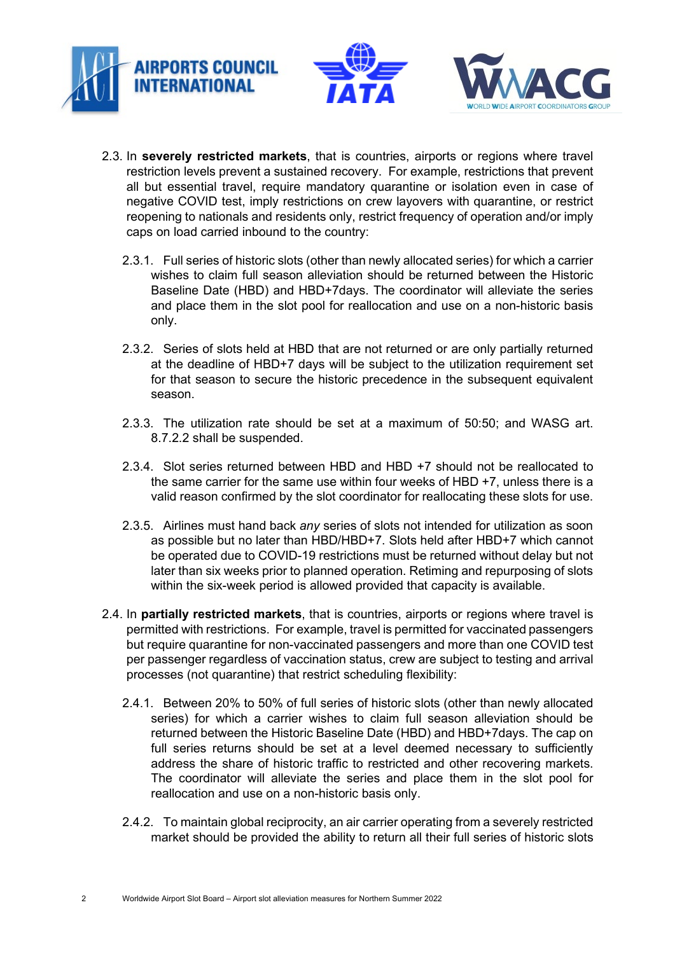





- 2.3.1. Full series of historic slots (other than newly allocated series) for which a carrier wishes to claim full season alleviation should be returned between the Historic Baseline Date (HBD) and HBD+7days. The coordinator will alleviate the series and place them in the slot pool for reallocation and use on a non-historic basis only.
- 2.3.2. Series of slots held at HBD that are not returned or are only partially returned at the deadline of HBD+7 days will be subject to the utilization requirement set for that season to secure the historic precedence in the subsequent equivalent season.
- 2.3.3. The utilization rate should be set at a maximum of 50:50; and WASG art. 8.7.2.2 shall be suspended.
- 2.3.4. Slot series returned between HBD and HBD +7 should not be reallocated to the same carrier for the same use within four weeks of HBD +7, unless there is a valid reason confirmed by the slot coordinator for reallocating these slots for use.
- 2.3.5. Airlines must hand back *any* series of slots not intended for utilization as soon as possible but no later than HBD/HBD+7. Slots held after HBD+7 which cannot be operated due to COVID-19 restrictions must be returned without delay but not later than six weeks prior to planned operation. Retiming and repurposing of slots within the six-week period is allowed provided that capacity is available.
- 2.4. In **partially restricted markets**, that is countries, airports or regions where travel is permitted with restrictions. For example, travel is permitted for vaccinated passengers but require quarantine for non-vaccinated passengers and more than one COVID test per passenger regardless of vaccination status, crew are subject to testing and arrival processes (not quarantine) that restrict scheduling flexibility:
	- 2.4.1. Between 20% to 50% of full series of historic slots (other than newly allocated series) for which a carrier wishes to claim full season alleviation should be returned between the Historic Baseline Date (HBD) and HBD+7days. The cap on full series returns should be set at a level deemed necessary to sufficiently address the share of historic traffic to restricted and other recovering markets. The coordinator will alleviate the series and place them in the slot pool for reallocation and use on a non-historic basis only.
	- 2.4.2. To maintain global reciprocity, an air carrier operating from a severely restricted market should be provided the ability to return all their full series of historic slots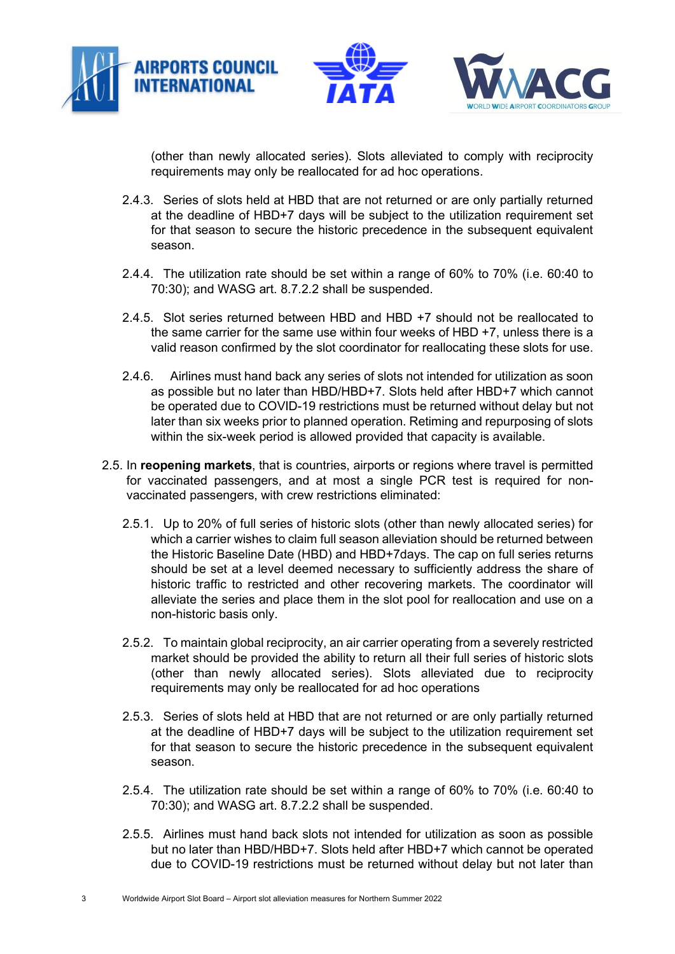



(other than newly allocated series). Slots alleviated to comply with reciprocity requirements may only be reallocated for ad hoc operations.

- 2.4.3. Series of slots held at HBD that are not returned or are only partially returned at the deadline of HBD+7 days will be subject to the utilization requirement set for that season to secure the historic precedence in the subsequent equivalent season.
- 2.4.4. The utilization rate should be set within a range of 60% to 70% (i.e. 60:40 to 70:30); and WASG art. 8.7.2.2 shall be suspended.
- 2.4.5. Slot series returned between HBD and HBD +7 should not be reallocated to the same carrier for the same use within four weeks of HBD +7, unless there is a valid reason confirmed by the slot coordinator for reallocating these slots for use.
- 2.4.6. Airlines must hand back any series of slots not intended for utilization as soon as possible but no later than HBD/HBD+7. Slots held after HBD+7 which cannot be operated due to COVID-19 restrictions must be returned without delay but not later than six weeks prior to planned operation. Retiming and repurposing of slots within the six-week period is allowed provided that capacity is available.
- 2.5. In **reopening markets**, that is countries, airports or regions where travel is permitted for vaccinated passengers, and at most a single PCR test is required for nonvaccinated passengers, with crew restrictions eliminated:
	- 2.5.1. Up to 20% of full series of historic slots (other than newly allocated series) for which a carrier wishes to claim full season alleviation should be returned between the Historic Baseline Date (HBD) and HBD+7days. The cap on full series returns should be set at a level deemed necessary to sufficiently address the share of historic traffic to restricted and other recovering markets. The coordinator will alleviate the series and place them in the slot pool for reallocation and use on a non-historic basis only.
	- 2.5.2. To maintain global reciprocity, an air carrier operating from a severely restricted market should be provided the ability to return all their full series of historic slots (other than newly allocated series). Slots alleviated due to reciprocity requirements may only be reallocated for ad hoc operations
	- 2.5.3. Series of slots held at HBD that are not returned or are only partially returned at the deadline of HBD+7 days will be subject to the utilization requirement set for that season to secure the historic precedence in the subsequent equivalent season.
	- 2.5.4. The utilization rate should be set within a range of 60% to 70% (i.e. 60:40 to 70:30); and WASG art. 8.7.2.2 shall be suspended.
	- 2.5.5. Airlines must hand back slots not intended for utilization as soon as possible but no later than HBD/HBD+7. Slots held after HBD+7 which cannot be operated due to COVID-19 restrictions must be returned without delay but not later than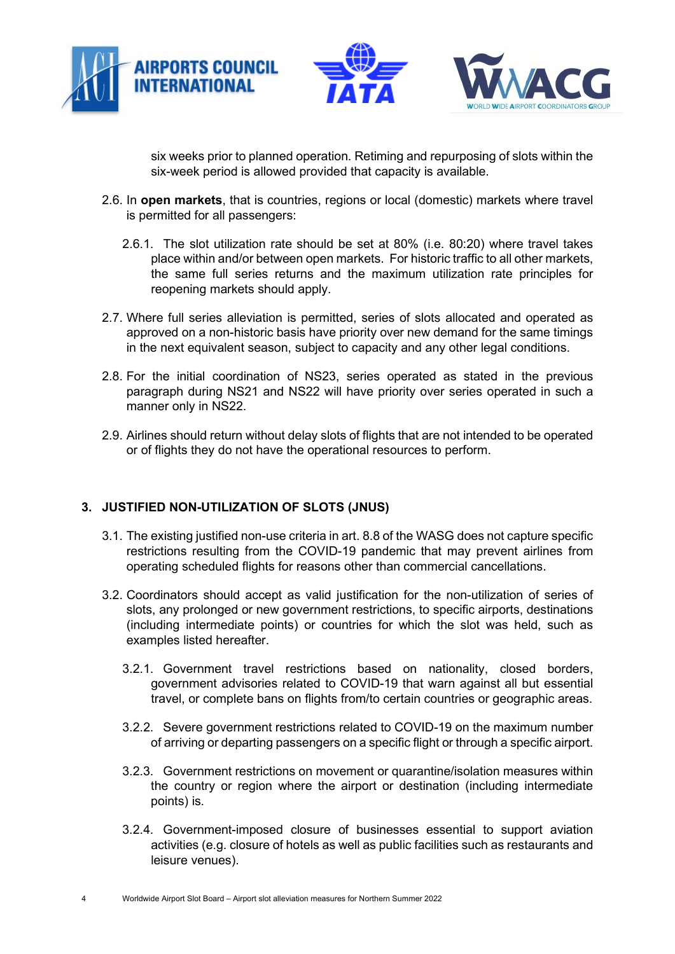



six weeks prior to planned operation. Retiming and repurposing of slots within the six-week period is allowed provided that capacity is available.

- 2.6. In **open markets**, that is countries, regions or local (domestic) markets where travel is permitted for all passengers:
	- 2.6.1. The slot utilization rate should be set at 80% (i.e. 80:20) where travel takes place within and/or between open markets. For historic traffic to all other markets, the same full series returns and the maximum utilization rate principles for reopening markets should apply.
- 2.7. Where full series alleviation is permitted, series of slots allocated and operated as approved on a non-historic basis have priority over new demand for the same timings in the next equivalent season, subject to capacity and any other legal conditions.
- 2.8. For the initial coordination of NS23, series operated as stated in the previous paragraph during NS21 and NS22 will have priority over series operated in such a manner only in NS22.
- 2.9. Airlines should return without delay slots of flights that are not intended to be operated or of flights they do not have the operational resources to perform.

# **3. JUSTIFIED NON-UTILIZATION OF SLOTS (JNUS)**

- 3.1. The existing justified non-use criteria in art. 8.8 of the WASG does not capture specific restrictions resulting from the COVID-19 pandemic that may prevent airlines from operating scheduled flights for reasons other than commercial cancellations.
- 3.2. Coordinators should accept as valid justification for the non-utilization of series of slots, any prolonged or new government restrictions, to specific airports, destinations (including intermediate points) or countries for which the slot was held, such as examples listed hereafter.
	- 3.2.1. Government travel restrictions based on nationality, closed borders, government advisories related to COVID-19 that warn against all but essential travel, or complete bans on flights from/to certain countries or geographic areas.
	- 3.2.2. Severe government restrictions related to COVID-19 on the maximum number of arriving or departing passengers on a specific flight or through a specific airport.
	- 3.2.3. Government restrictions on movement or quarantine/isolation measures within the country or region where the airport or destination (including intermediate points) is.
	- 3.2.4. Government-imposed closure of businesses essential to support aviation activities (e.g. closure of hotels as well as public facilities such as restaurants and leisure venues).